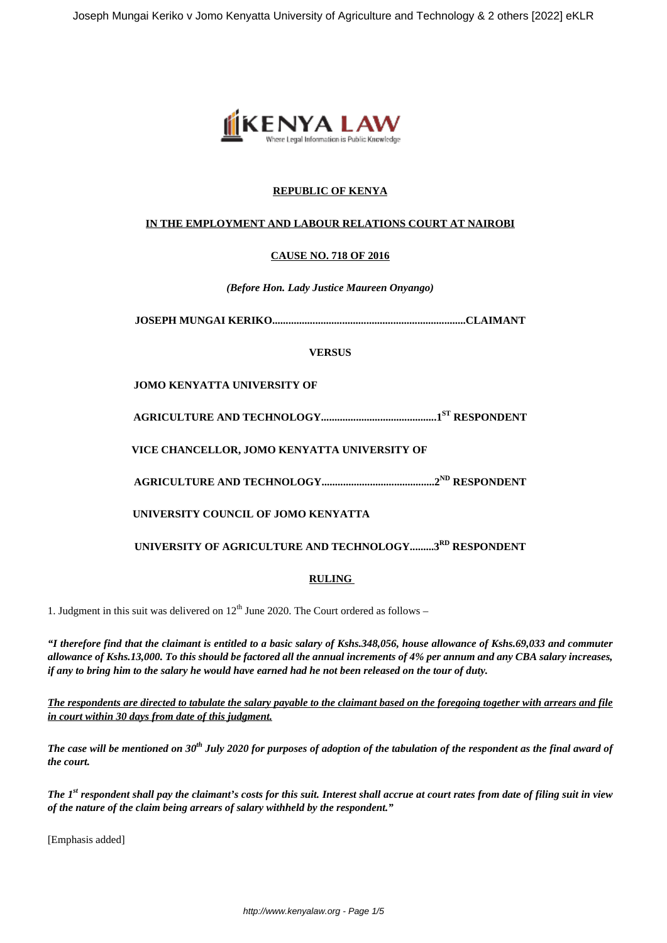

# **REPUBLIC OF KENYA**

## **IN THE EMPLOYMENT AND LABOUR RELATIONS COURT AT NAIROBI**

# **CAUSE NO. 718 OF 2016**

*(Before Hon. Lady Justice Maureen Onyango)*

**JOSEPH MUNGAI KERIKO........................................................................CLAIMANT**

## **VERSUS**

**JOMO KENYATTA UNIVERSITY OF**

**AGRICULTURE AND TECHNOLOGY...........................................1ST RESPONDENT**

**VICE CHANCELLOR, JOMO KENYATTA UNIVERSITY OF**

**AGRICULTURE AND TECHNOLOGY..........................................2ND RESPONDENT**

**UNIVERSITY COUNCIL OF JOMO KENYATTA**

**UNIVERSITY OF AGRICULTURE AND TECHNOLOGY.........3RD RESPONDENT**

## **RULING**

1. Judgment in this suit was delivered on  $12<sup>th</sup>$  June 2020. The Court ordered as follows –

*"I therefore find that the claimant is entitled to a basic salary of Kshs.348,056, house allowance of Kshs.69,033 and commuter allowance of Kshs.13,000. To this should be factored all the annual increments of 4% per annum and any CBA salary increases, if any to bring him to the salary he would have earned had he not been released on the tour of duty.*

*The respondents are directed to tabulate the salary payable to the claimant based on the foregoing together with arrears and file in court within 30 days from date of this judgment.*

*The case will be mentioned on 30th July 2020 for purposes of adoption of the tabulation of the respondent as the final award of the court.*

*The 1st respondent shall pay the claimant's costs for this suit. Interest shall accrue at court rates from date of filing suit in view of the nature of the claim being arrears of salary withheld by the respondent."*

[Emphasis added]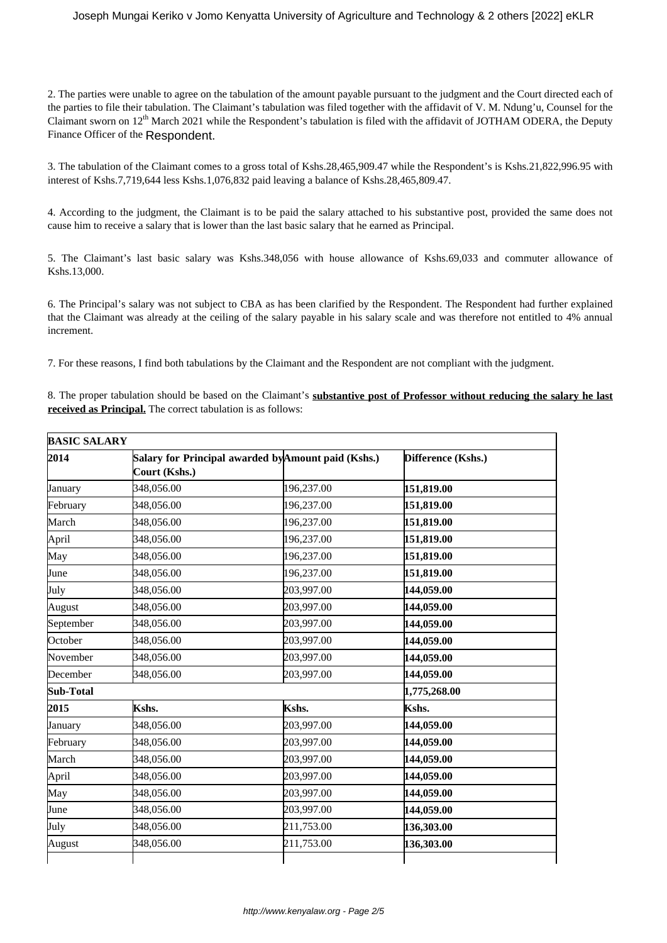2. The parties were unable to agree on the tabulation of the amount payable pursuant to the judgment and the Court directed each of the parties to file their tabulation. The Claimant's tabulation was filed together with the affidavit of V. M. Ndung'u, Counsel for the Claimant sworn on  $12<sup>th</sup>$  March 2021 while the Respondent's tabulation is filed with the affidavit of JOTHAM ODERA, the Deputy Finance Officer of the Respondent.

3. The tabulation of the Claimant comes to a gross total of Kshs.28,465,909.47 while the Respondent's is Kshs.21,822,996.95 with interest of Kshs.7,719,644 less Kshs.1,076,832 paid leaving a balance of Kshs.28,465,809.47.

4. According to the judgment, the Claimant is to be paid the salary attached to his substantive post, provided the same does not cause him to receive a salary that is lower than the last basic salary that he earned as Principal.

5. The Claimant's last basic salary was Kshs.348,056 with house allowance of Kshs.69,033 and commuter allowance of Kshs.13,000.

6. The Principal's salary was not subject to CBA as has been clarified by the Respondent. The Respondent had further explained that the Claimant was already at the ceiling of the salary payable in his salary scale and was therefore not entitled to 4% annual increment.

7. For these reasons, I find both tabulations by the Claimant and the Respondent are not compliant with the judgment.

8. The proper tabulation should be based on the Claimant's **substantive post of Professor without reducing the salary he last received as Principal.** The correct tabulation is as follows:

| <b>BASIC SALARY</b> |                                                                      |            |                    |
|---------------------|----------------------------------------------------------------------|------------|--------------------|
| 2014                | Salary for Principal awarded by Amount paid (Kshs.)<br>Court (Kshs.) |            | Difference (Kshs.) |
| January             | 348,056.00                                                           | 196,237.00 | 151,819.00         |
| February            | 348,056.00                                                           | 196,237.00 | 151,819.00         |
| March               | 348,056.00                                                           | 196,237.00 | 151,819.00         |
| April               | 348,056.00                                                           | 196,237.00 | 151,819.00         |
| May                 | 348,056.00                                                           | 196,237.00 | 151,819.00         |
| June                | 348,056.00                                                           | 196,237.00 | 151,819.00         |
| July                | 348,056.00                                                           | 203,997.00 | 144,059.00         |
| August              | 348,056.00                                                           | 203,997.00 | 144,059.00         |
| September           | 348,056.00                                                           | 203,997.00 | 144,059.00         |
| October             | 348,056.00                                                           | 203,997.00 | 144,059.00         |
| November            | 348,056.00                                                           | 203,997.00 | 144,059.00         |
| December            | 348,056.00                                                           | 203,997.00 | 144,059.00         |
| <b>Sub-Total</b>    |                                                                      |            | 1,775,268.00       |
| 2015                | Kshs.                                                                | Kshs.      | Kshs.              |
| January             | 348,056.00                                                           | 203,997.00 | 144,059.00         |
| February            | 348,056.00                                                           | 203,997.00 | 144,059.00         |
| March               | 348,056.00                                                           | 203,997.00 | 144,059.00         |
| April               | 348,056.00                                                           | 203,997.00 | 144,059.00         |
| May                 | 348,056.00                                                           | 203,997.00 | 144,059.00         |
| June                | 348,056.00                                                           | 203,997.00 | 144,059.00         |
| July                | 348,056.00                                                           | 211,753.00 | 136,303.00         |
| August              | 348,056.00                                                           | 211,753.00 | 136,303.00         |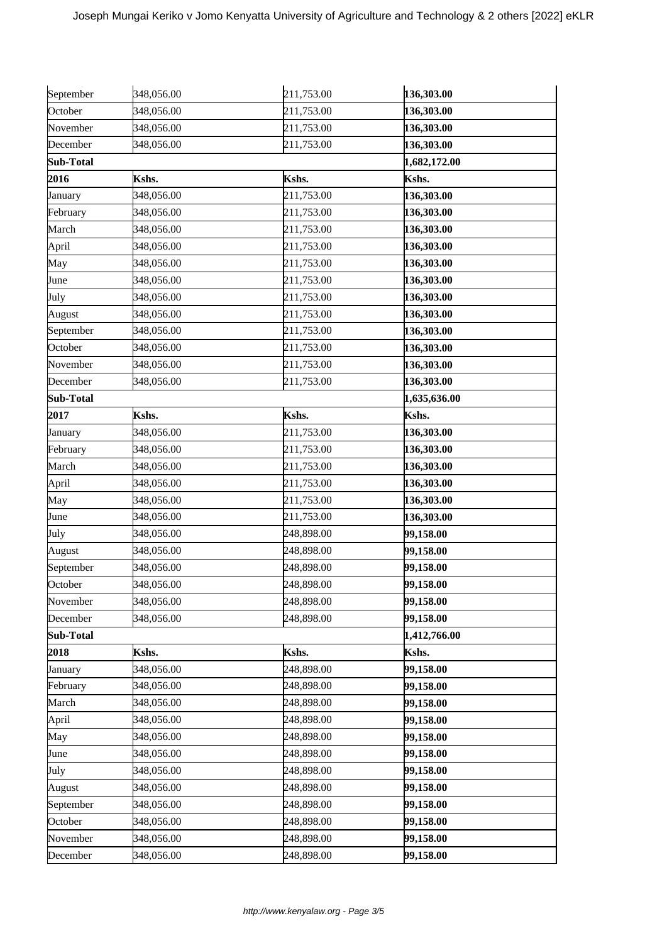| September | 348,056.00 | 211,753.00 | 136,303.00   |
|-----------|------------|------------|--------------|
| October   | 348,056.00 | 211,753.00 | 136,303.00   |
| November  | 348,056.00 | 211,753.00 | 136,303.00   |
| December  | 348,056.00 | 211,753.00 | 136,303.00   |
| Sub-Total |            |            | 1,682,172.00 |
| 2016      | Kshs.      | Kshs.      | Kshs.        |
| January   | 348,056.00 | 211,753.00 | 136,303.00   |
| February  | 348,056.00 | 211,753.00 | 136,303.00   |
| March     | 348,056.00 | 211,753.00 | 136,303.00   |
| April     | 348,056.00 | 211,753.00 | 136,303.00   |
| May       | 348,056.00 | 211,753.00 | 136,303.00   |
| June      | 348,056.00 | 211,753.00 | 136,303.00   |
| July      | 348,056.00 | 211,753.00 | 136,303.00   |
| August    | 348,056.00 | 211,753.00 | 136,303.00   |
| September | 348,056.00 | 211,753.00 | 136,303.00   |
| October   | 348,056.00 | 211,753.00 | 136,303.00   |
| November  | 348,056.00 | 211,753.00 | 136,303.00   |
| December  | 348,056.00 | 211,753.00 | 136,303.00   |
| Sub-Total |            |            | 1,635,636.00 |
| 2017      | Kshs.      | Kshs.      | Kshs.        |
| January   | 348,056.00 | 211,753.00 | 136,303.00   |
| February  | 348,056.00 | 211,753.00 | 136,303.00   |
| March     | 348,056.00 | 211,753.00 | 136,303.00   |
| April     | 348,056.00 | 211,753.00 | 136,303.00   |
| May       | 348,056.00 | 211,753.00 | 136,303.00   |
| June      | 348,056.00 | 211,753.00 | 136,303.00   |
| July      | 348,056.00 | 248,898.00 | 99,158.00    |
| August    | 348,056.00 | 248,898.00 | 99,158.00    |
| September | 348,056.00 | 248,898.00 | 99,158.00    |
| October   | 348,056.00 | 248,898.00 | 99,158.00    |
| November  | 348,056.00 | 248,898.00 | 99,158.00    |
| December  | 348,056.00 | 248,898.00 | 99,158.00    |
| Sub-Total |            |            | 1,412,766.00 |
| 2018      | Kshs.      | Kshs.      | Kshs.        |
| January   | 348,056.00 | 248,898.00 | 99,158.00    |
| February  | 348,056.00 | 248,898.00 | 99,158.00    |
| March     | 348,056.00 | 248,898.00 | 99,158.00    |
| April     | 348,056.00 | 248,898.00 | 99,158.00    |
| May       | 348,056.00 | 248,898.00 | 99,158.00    |
| June      | 348,056.00 | 248,898.00 | 99,158.00    |
| July      | 348,056.00 | 248,898.00 | 99,158.00    |
| August    | 348,056.00 | 248,898.00 | 99,158.00    |
| September | 348,056.00 | 248,898.00 | 99,158.00    |
| October   | 348,056.00 | 248,898.00 | 99,158.00    |
| November  | 348,056.00 | 248,898.00 | 99,158.00    |
| December  | 348,056.00 | 248,898.00 | 99,158.00    |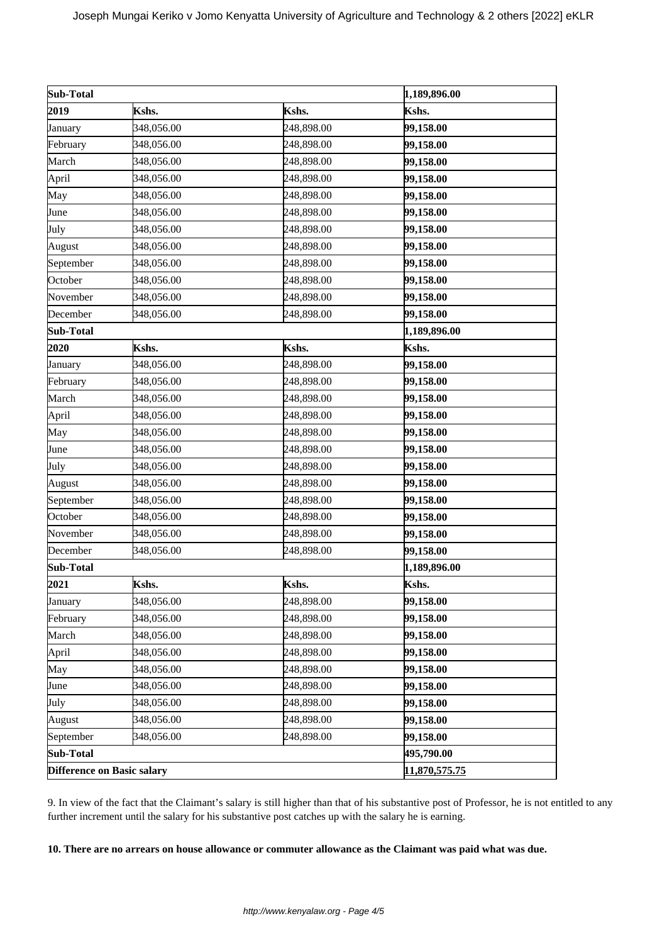| Sub-Total                  |            | 1,189,896.00  |              |
|----------------------------|------------|---------------|--------------|
| 2019                       | Kshs.      | Kshs.         | Kshs.        |
| January                    | 348,056.00 | 248,898.00    | 99,158.00    |
| February                   | 348,056.00 | 248,898.00    | 99,158.00    |
| March                      | 348,056.00 | 248,898.00    | 99,158.00    |
| April                      | 348,056.00 | 248,898.00    | 99,158.00    |
| May                        | 348,056.00 | 248,898.00    | 99,158.00    |
| June                       | 348,056.00 | 248,898.00    | 99,158.00    |
| July                       | 348,056.00 | 248,898.00    | 99,158.00    |
| August                     | 348,056.00 | 248,898.00    | 99,158.00    |
| September                  | 348,056.00 | 248,898.00    | 99,158.00    |
| October                    | 348,056.00 | 248,898.00    | 99,158.00    |
| November                   | 348,056.00 | 248,898.00    | 99,158.00    |
| December                   | 348,056.00 | 248,898.00    | 99,158.00    |
| Sub-Total                  |            |               | 1,189,896.00 |
| 2020                       | Kshs.      | Kshs.         | Kshs.        |
| January                    | 348,056.00 | 248,898.00    | 99,158.00    |
| February                   | 348,056.00 | 248,898.00    | 99,158.00    |
| March                      | 348,056.00 | 248,898.00    | 99,158.00    |
| April                      | 348,056.00 | 248,898.00    | 99,158.00    |
| May                        | 348,056.00 | 248,898.00    | 99,158.00    |
| June                       | 348,056.00 | 248,898.00    | 99,158.00    |
| July                       | 348,056.00 | 248,898.00    | 99,158.00    |
| August                     | 348,056.00 | 248,898.00    | 99,158.00    |
| September                  | 348,056.00 | 248,898.00    | 99,158.00    |
| October                    | 348,056.00 | 248,898.00    | 99,158.00    |
| November                   | 348,056.00 | 248,898.00    | 99,158.00    |
| December                   | 348,056.00 | 248,898.00    | 99,158.00    |
| Sub-Total                  |            |               | 1,189,896.00 |
| 2021                       | Kshs.      | Kshs.         | Kshs.        |
| January                    | 348,056.00 | 248,898.00    | 99,158.00    |
| February                   | 348,056.00 | 248,898.00    | 99,158.00    |
| March                      | 348,056.00 | 248,898.00    | 99,158.00    |
| April                      | 348,056.00 | 248,898.00    | 99,158.00    |
| May                        | 348,056.00 | 248,898.00    | 99,158.00    |
| June                       | 348,056.00 | 248,898.00    | 99,158.00    |
| July                       | 348,056.00 | 248,898.00    | 99,158.00    |
| August                     | 348,056.00 | 248,898.00    | 99,158.00    |
| September                  | 348,056.00 | 248,898.00    | 99,158.00    |
| Sub-Total                  |            | 495,790.00    |              |
| Difference on Basic salary |            | 11,870,575.75 |              |

9. In view of the fact that the Claimant's salary is still higher than that of his substantive post of Professor, he is not entitled to any further increment until the salary for his substantive post catches up with the salary he is earning.

## **10. There are no arrears on house allowance or commuter allowance as the Claimant was paid what was due.**